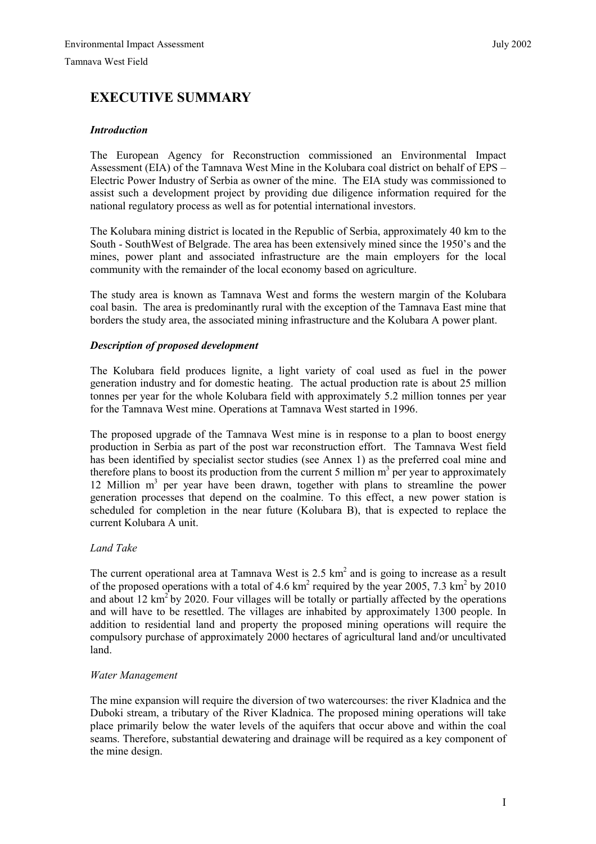# **EXECUTIVE SUMMARY**

# *Introduction*

The European Agency for Reconstruction commissioned an Environmental Impact Assessment (EIA) of the Tamnava West Mine in the Kolubara coal district on behalf of EPS – Electric Power Industry of Serbia as owner of the mine. The EIA study was commissioned to assist such a development project by providing due diligence information required for the national regulatory process as well as for potential international investors.

The Kolubara mining district is located in the Republic of Serbia, approximately 40 km to the South - SouthWest of Belgrade. The area has been extensively mined since the 1950's and the mines, power plant and associated infrastructure are the main employers for the local community with the remainder of the local economy based on agriculture.

The study area is known as Tamnava West and forms the western margin of the Kolubara coal basin. The area is predominantly rural with the exception of the Tamnava East mine that borders the study area, the associated mining infrastructure and the Kolubara A power plant.

# *Description of proposed development*

The Kolubara field produces lignite, a light variety of coal used as fuel in the power generation industry and for domestic heating. The actual production rate is about 25 million tonnes per year for the whole Kolubara field with approximately 5.2 million tonnes per year for the Tamnava West mine. Operations at Tamnava West started in 1996.

The proposed upgrade of the Tamnava West mine is in response to a plan to boost energy production in Serbia as part of the post war reconstruction effort. The Tamnava West field has been identified by specialist sector studies (see Annex 1) as the preferred coal mine and therefore plans to boost its production from the current 5 million  $m<sup>3</sup>$  per year to approximately 12 Million m<sup>3</sup> per year have been drawn, together with plans to streamline the power generation processes that depend on the coalmine. To this effect, a new power station is scheduled for completion in the near future (Kolubara B), that is expected to replace the current Kolubara A unit.

# *Land Take*

The current operational area at Tamnava West is  $2.5 \text{ km}^2$  and is going to increase as a result of the proposed operations with a total of 4.6  $km^2$  required by the year 2005, 7.3  $km^2$  by 2010 and about 12  $km^2$  by 2020. Four villages will be totally or partially affected by the operations and will have to be resettled. The villages are inhabited by approximately 1300 people. In addition to residential land and property the proposed mining operations will require the compulsory purchase of approximately 2000 hectares of agricultural land and/or uncultivated land.

# *Water Management*

The mine expansion will require the diversion of two watercourses: the river Kladnica and the Duboki stream, a tributary of the River Kladnica. The proposed mining operations will take place primarily below the water levels of the aquifers that occur above and within the coal seams. Therefore, substantial dewatering and drainage will be required as a key component of the mine design.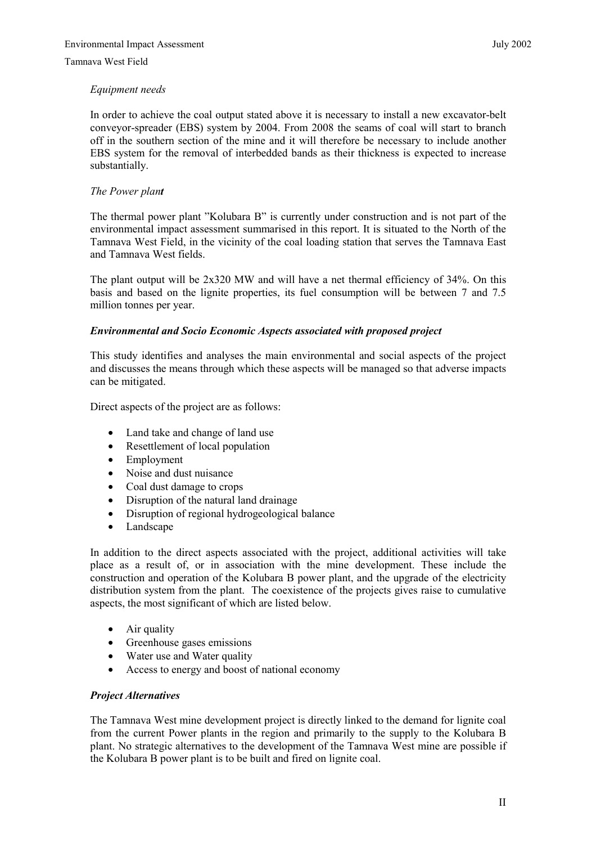# *Equipment needs*

In order to achieve the coal output stated above it is necessary to install a new excavator-belt conveyor-spreader (EBS) system by 2004. From 2008 the seams of coal will start to branch off in the southern section of the mine and it will therefore be necessary to include another EBS system for the removal of interbedded bands as their thickness is expected to increase substantially.

# *The Power plant*

The thermal power plant "Kolubara B" is currently under construction and is not part of the environmental impact assessment summarised in this report. It is situated to the North of the Tamnava West Field, in the vicinity of the coal loading station that serves the Tamnava East and Tamnava West fields.

The plant output will be 2x320 MW and will have a net thermal efficiency of 34%. On this basis and based on the lignite properties, its fuel consumption will be between 7 and 7.5 million tonnes per year.

# *Environmental and Socio Economic Aspects associated with proposed project*

This study identifies and analyses the main environmental and social aspects of the project and discusses the means through which these aspects will be managed so that adverse impacts can be mitigated.

Direct aspects of the project are as follows:

- Land take and change of land use
- Resettlement of local population
- Employment
- Noise and dust nuisance
- Coal dust damage to crops
- Disruption of the natural land drainage
- Disruption of regional hydrogeological balance
- Landscape

In addition to the direct aspects associated with the project, additional activities will take place as a result of, or in association with the mine development. These include the construction and operation of the Kolubara B power plant, and the upgrade of the electricity distribution system from the plant. The coexistence of the projects gives raise to cumulative aspects, the most significant of which are listed below.

- Air quality
- Greenhouse gases emissions
- Water use and Water quality
- Access to energy and boost of national economy

# *Project Alternatives*

The Tamnava West mine development project is directly linked to the demand for lignite coal from the current Power plants in the region and primarily to the supply to the Kolubara B plant. No strategic alternatives to the development of the Tamnava West mine are possible if the Kolubara B power plant is to be built and fired on lignite coal.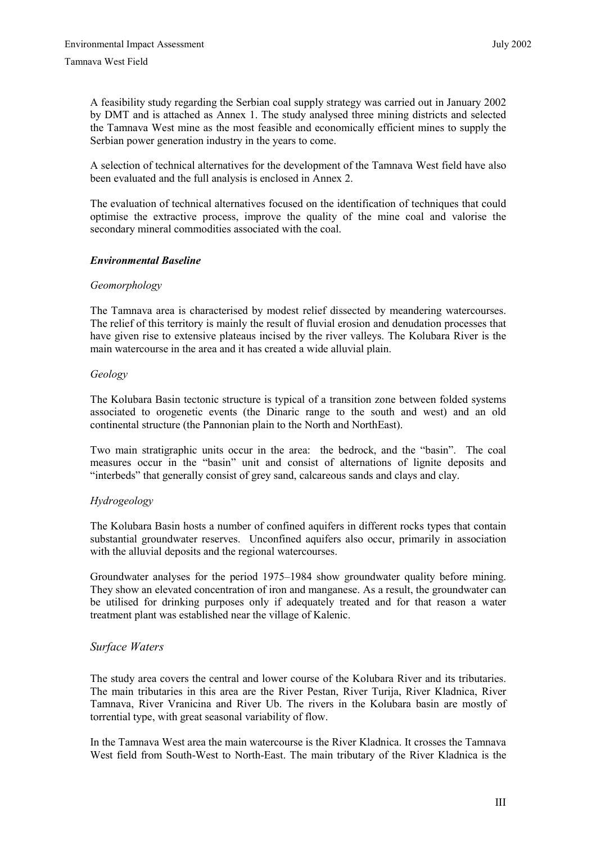A feasibility study regarding the Serbian coal supply strategy was carried out in January 2002 by DMT and is attached as Annex 1. The study analysed three mining districts and selected the Tamnava West mine as the most feasible and economically efficient mines to supply the Serbian power generation industry in the years to come.

A selection of technical alternatives for the development of the Tamnava West field have also been evaluated and the full analysis is enclosed in Annex 2.

The evaluation of technical alternatives focused on the identification of techniques that could optimise the extractive process, improve the quality of the mine coal and valorise the secondary mineral commodities associated with the coal.

# *Environmental Baseline*

### *Geomorphology*

The Tamnava area is characterised by modest relief dissected by meandering watercourses. The relief of this territory is mainly the result of fluvial erosion and denudation processes that have given rise to extensive plateaus incised by the river valleys. The Kolubara River is the main watercourse in the area and it has created a wide alluvial plain.

### *Geology*

The Kolubara Basin tectonic structure is typical of a transition zone between folded systems associated to orogenetic events (the Dinaric range to the south and west) and an old continental structure (the Pannonian plain to the North and NorthEast).

Two main stratigraphic units occur in the area: the bedrock, and the "basin". The coal measures occur in the "basin" unit and consist of alternations of lignite deposits and "interbeds" that generally consist of grey sand, calcareous sands and clays and clay.

# *Hydrogeology*

The Kolubara Basin hosts a number of confined aquifers in different rocks types that contain substantial groundwater reserves. Unconfined aquifers also occur, primarily in association with the alluvial deposits and the regional watercourses.

Groundwater analyses for the period 1975–1984 show groundwater quality before mining. They show an elevated concentration of iron and manganese. As a result, the groundwater can be utilised for drinking purposes only if adequately treated and for that reason a water treatment plant was established near the village of Kalenic.

# *Surface Waters*

The study area covers the central and lower course of the Kolubara River and its tributaries. The main tributaries in this area are the River Pestan, River Turija, River Kladnica, River Tamnava, River Vranicina and River Ub. The rivers in the Kolubara basin are mostly of torrential type, with great seasonal variability of flow.

In the Tamnava West area the main watercourse is the River Kladnica. It crosses the Tamnava West field from South-West to North-East. The main tributary of the River Kladnica is the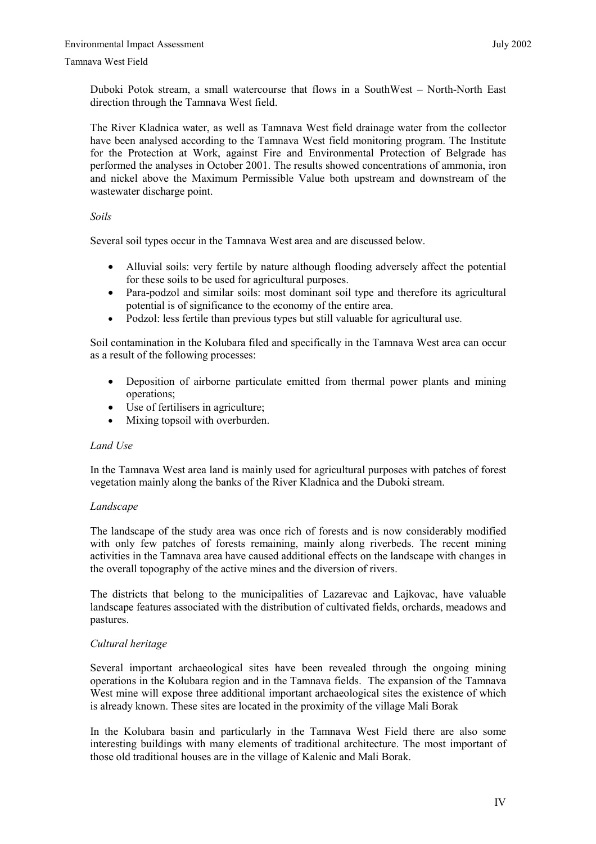Duboki Potok stream, a small watercourse that flows in a SouthWest – North-North East direction through the Tamnava West field.

The River Kladnica water, as well as Tamnava West field drainage water from the collector have been analysed according to the Tamnava West field monitoring program. The Institute for the Protection at Work, against Fire and Environmental Protection of Belgrade has performed the analyses in October 2001. The results showed concentrations of ammonia, iron and nickel above the Maximum Permissible Value both upstream and downstream of the wastewater discharge point.

# *Soils*

Several soil types occur in the Tamnava West area and are discussed below.

- Alluvial soils: very fertile by nature although flooding adversely affect the potential for these soils to be used for agricultural purposes.
- Para-podzol and similar soils: most dominant soil type and therefore its agricultural potential is of significance to the economy of the entire area.
- Podzol: less fertile than previous types but still valuable for agricultural use.

Soil contamination in the Kolubara filed and specifically in the Tamnava West area can occur as a result of the following processes:

- Deposition of airborne particulate emitted from thermal power plants and mining operations;
- Use of fertilisers in agriculture;
- Mixing topsoil with overburden.

# *Land Use*

In the Tamnava West area land is mainly used for agricultural purposes with patches of forest vegetation mainly along the banks of the River Kladnica and the Duboki stream.

# *Landscape*

The landscape of the study area was once rich of forests and is now considerably modified with only few patches of forests remaining, mainly along riverbeds. The recent mining activities in the Tamnava area have caused additional effects on the landscape with changes in the overall topography of the active mines and the diversion of rivers.

The districts that belong to the municipalities of Lazarevac and Lajkovac, have valuable landscape features associated with the distribution of cultivated fields, orchards, meadows and pastures.

# *Cultural heritage*

Several important archaeological sites have been revealed through the ongoing mining operations in the Kolubara region and in the Tamnava fields. The expansion of the Tamnava West mine will expose three additional important archaeological sites the existence of which is already known. These sites are located in the proximity of the village Mali Borak

In the Kolubara basin and particularly in the Tamnava West Field there are also some interesting buildings with many elements of traditional architecture. The most important of those old traditional houses are in the village of Kalenic and Mali Borak.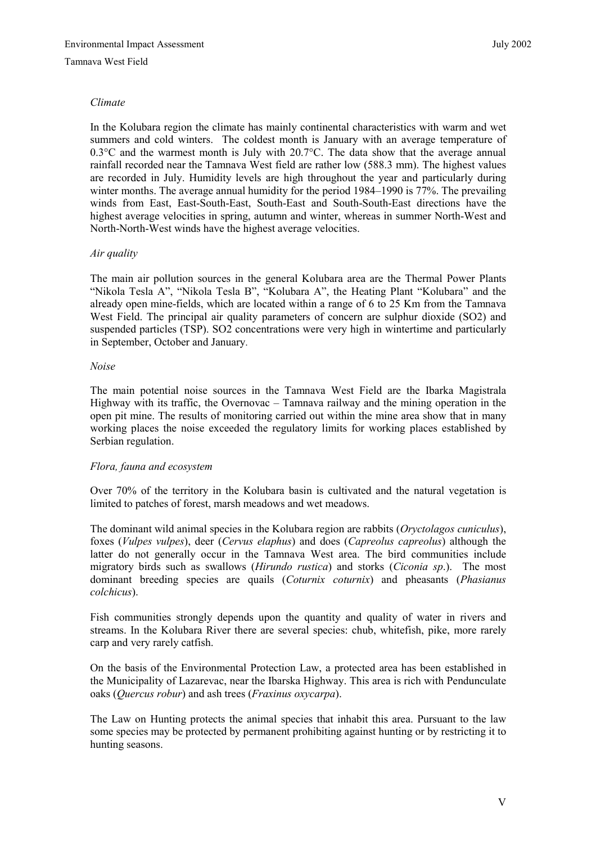# *Climate*

In the Kolubara region the climate has mainly continental characteristics with warm and wet summers and cold winters. The coldest month is January with an average temperature of 0.3°C and the warmest month is July with 20.7°C. The data show that the average annual rainfall recorded near the Tamnava West field are rather low (588.3 mm). The highest values are recorded in July. Humidity levels are high throughout the year and particularly during winter months. The average annual humidity for the period 1984–1990 is 77%. The prevailing winds from East, East-South-East, South-East and South-South-East directions have the highest average velocities in spring, autumn and winter, whereas in summer North-West and North-North-West winds have the highest average velocities.

# *Air quality*

The main air pollution sources in the general Kolubara area are the Thermal Power Plants "Nikola Tesla A", "Nikola Tesla B", "Kolubara A", the Heating Plant "Kolubara" and the already open mine-fields, which are located within a range of 6 to 25 Km from the Tamnava West Field. The principal air quality parameters of concern are sulphur dioxide (SO2) and suspended particles (TSP). SO2 concentrations were very high in wintertime and particularly in September, October and January.

# *Noise*

The main potential noise sources in the Tamnava West Field are the Ibarka Magistrala Highway with its traffic, the Overnovac – Tamnava railway and the mining operation in the open pit mine. The results of monitoring carried out within the mine area show that in many working places the noise exceeded the regulatory limits for working places established by Serbian regulation.

# *Flora, fauna and ecosystem*

Over 70% of the territory in the Kolubara basin is cultivated and the natural vegetation is limited to patches of forest, marsh meadows and wet meadows.

The dominant wild animal species in the Kolubara region are rabbits (*Oryctolagos cuniculus*), foxes (*Vulpes vulpes*), deer (*Cervus elaphus*) and does (*Capreolus capreolus*) although the latter do not generally occur in the Tamnava West area. The bird communities include migratory birds such as swallows (*Hirundo rustica*) and storks (*Ciconia sp*.). The most dominant breeding species are quails (*Coturnix coturnix*) and pheasants (*Phasianus colchicus*).

Fish communities strongly depends upon the quantity and quality of water in rivers and streams. In the Kolubara River there are several species: chub, whitefish, pike, more rarely carp and very rarely catfish.

On the basis of the Environmental Protection Law, a protected area has been established in the Municipality of Lazarevac, near the Ibarska Highway. This area is rich with Pendunculate oaks (*Quercus robur*) and ash trees (*Fraxinus oxycarpa*).

The Law on Hunting protects the animal species that inhabit this area. Pursuant to the law some species may be protected by permanent prohibiting against hunting or by restricting it to hunting seasons.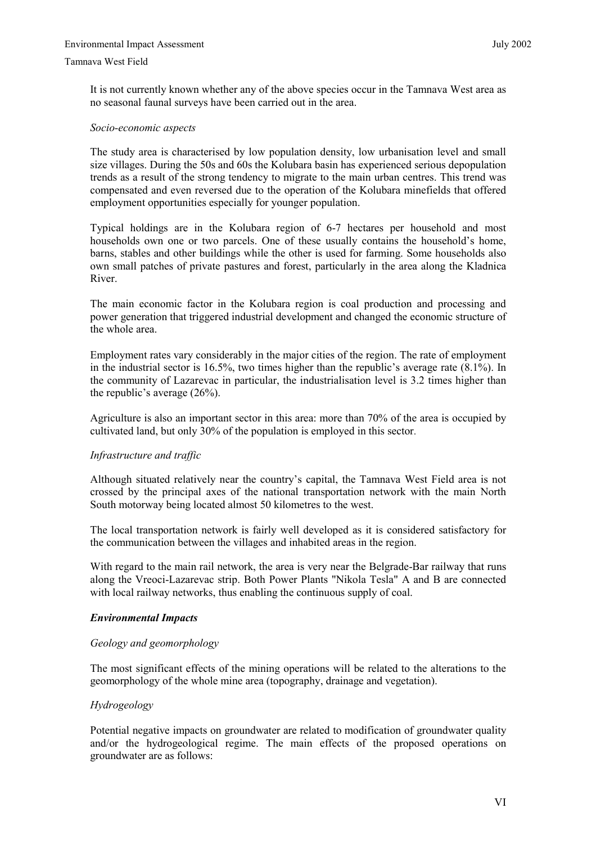It is not currently known whether any of the above species occur in the Tamnava West area as no seasonal faunal surveys have been carried out in the area.

#### *Socio-economic aspects*

The study area is characterised by low population density, low urbanisation level and small size villages. During the 50s and 60s the Kolubara basin has experienced serious depopulation trends as a result of the strong tendency to migrate to the main urban centres. This trend was compensated and even reversed due to the operation of the Kolubara minefields that offered employment opportunities especially for younger population.

Typical holdings are in the Kolubara region of 6-7 hectares per household and most households own one or two parcels. One of these usually contains the household's home, barns, stables and other buildings while the other is used for farming. Some households also own small patches of private pastures and forest, particularly in the area along the Kladnica River.

The main economic factor in the Kolubara region is coal production and processing and power generation that triggered industrial development and changed the economic structure of the whole area.

Employment rates vary considerably in the major cities of the region. The rate of employment in the industrial sector is  $16.5\%$ , two times higher than the republic's average rate  $(8.1\%)$ . In the community of Lazarevac in particular, the industrialisation level is 3.2 times higher than the republic's average (26%).

Agriculture is also an important sector in this area: more than 70% of the area is occupied by cultivated land, but only 30% of the population is employed in this sector.

### *Infrastructure and traffic*

Although situated relatively near the country's capital, the Tamnava West Field area is not crossed by the principal axes of the national transportation network with the main North South motorway being located almost 50 kilometres to the west.

The local transportation network is fairly well developed as it is considered satisfactory for the communication between the villages and inhabited areas in the region.

With regard to the main rail network, the area is very near the Belgrade-Bar railway that runs along the Vreoci-Lazarevac strip. Both Power Plants "Nikola Tesla" A and B are connected with local railway networks, thus enabling the continuous supply of coal.

#### *Environmental Impacts*

#### *Geology and geomorphology*

The most significant effects of the mining operations will be related to the alterations to the geomorphology of the whole mine area (topography, drainage and vegetation).

#### *Hydrogeology*

Potential negative impacts on groundwater are related to modification of groundwater quality and/or the hydrogeological regime. The main effects of the proposed operations on groundwater are as follows: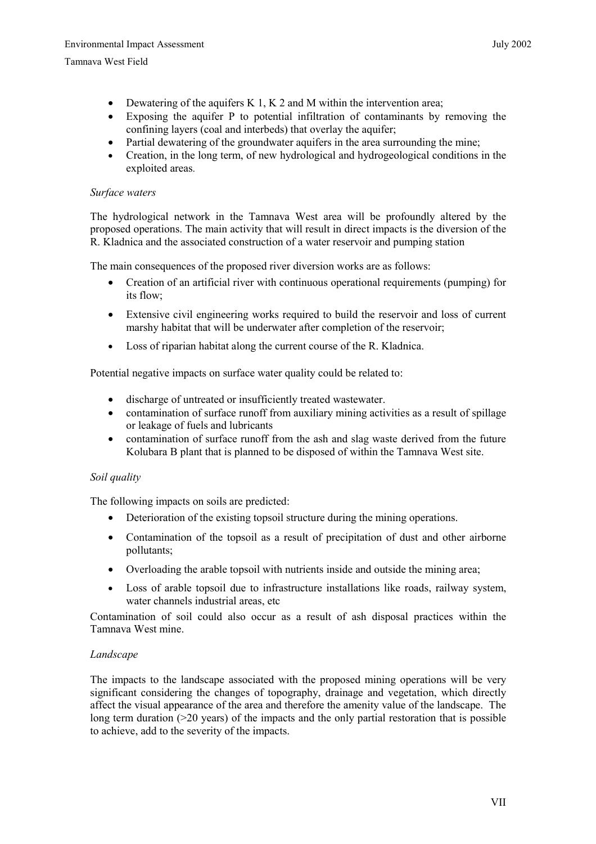- Dewatering of the aquifers K 1, K 2 and M within the intervention area;
- Exposing the aquifer P to potential infiltration of contaminants by removing the confining layers (coal and interbeds) that overlay the aquifer;
- Partial dewatering of the groundwater aquifers in the area surrounding the mine;
- Creation, in the long term, of new hydrological and hydrogeological conditions in the exploited areas.

# *Surface waters*

The hydrological network in the Tamnava West area will be profoundly altered by the proposed operations. The main activity that will result in direct impacts is the diversion of the R. Kladnica and the associated construction of a water reservoir and pumping station

The main consequences of the proposed river diversion works are as follows:

- Creation of an artificial river with continuous operational requirements (pumping) for its flow;
- Extensive civil engineering works required to build the reservoir and loss of current marshy habitat that will be underwater after completion of the reservoir;
- Loss of riparian habitat along the current course of the R. Kladnica.

Potential negative impacts on surface water quality could be related to:

- discharge of untreated or insufficiently treated wastewater.
- contamination of surface runoff from auxiliary mining activities as a result of spillage or leakage of fuels and lubricants
- contamination of surface runoff from the ash and slag waste derived from the future Kolubara B plant that is planned to be disposed of within the Tamnava West site.

# *Soil quality*

The following impacts on soils are predicted:

- Deterioration of the existing topsoil structure during the mining operations.
- Contamination of the topsoil as a result of precipitation of dust and other airborne pollutants;
- Overloading the arable topsoil with nutrients inside and outside the mining area;
- Loss of arable topsoil due to infrastructure installations like roads, railway system, water channels industrial areas, etc.

Contamination of soil could also occur as a result of ash disposal practices within the Tamnava West mine.

# *Landscape*

The impacts to the landscape associated with the proposed mining operations will be very significant considering the changes of topography, drainage and vegetation, which directly affect the visual appearance of the area and therefore the amenity value of the landscape. The long term duration (>20 years) of the impacts and the only partial restoration that is possible to achieve, add to the severity of the impacts.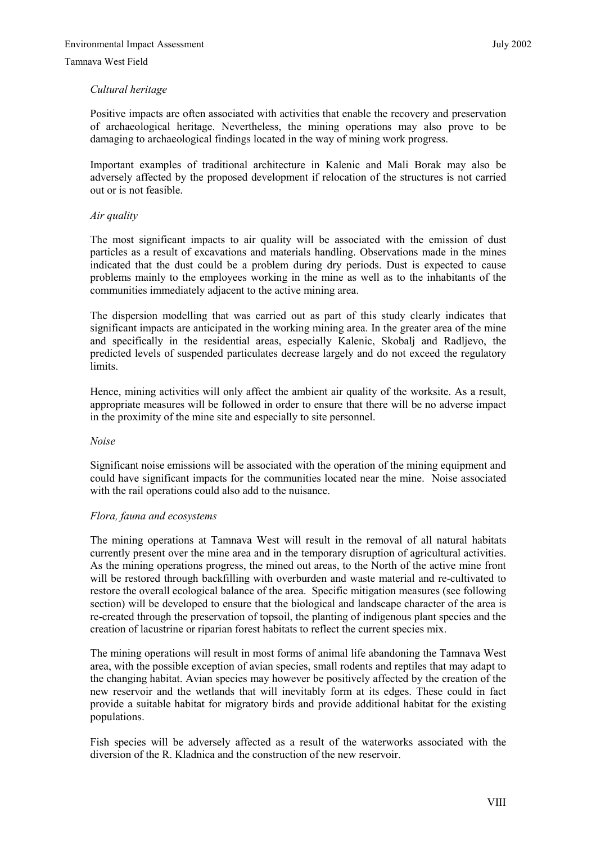# *Cultural heritage*

Positive impacts are often associated with activities that enable the recovery and preservation of archaeological heritage. Nevertheless, the mining operations may also prove to be damaging to archaeological findings located in the way of mining work progress.

Important examples of traditional architecture in Kalenic and Mali Borak may also be adversely affected by the proposed development if relocation of the structures is not carried out or is not feasible.

# *Air quality*

The most significant impacts to air quality will be associated with the emission of dust particles as a result of excavations and materials handling. Observations made in the mines indicated that the dust could be a problem during dry periods. Dust is expected to cause problems mainly to the employees working in the mine as well as to the inhabitants of the communities immediately adjacent to the active mining area.

The dispersion modelling that was carried out as part of this study clearly indicates that significant impacts are anticipated in the working mining area. In the greater area of the mine and specifically in the residential areas, especially Kalenic, Skobalj and Radljevo, the predicted levels of suspended particulates decrease largely and do not exceed the regulatory limits.

Hence, mining activities will only affect the ambient air quality of the worksite. As a result, appropriate measures will be followed in order to ensure that there will be no adverse impact in the proximity of the mine site and especially to site personnel.

# *Noise*

Significant noise emissions will be associated with the operation of the mining equipment and could have significant impacts for the communities located near the mine. Noise associated with the rail operations could also add to the nuisance.

# *Flora, fauna and ecosystems*

The mining operations at Tamnava West will result in the removal of all natural habitats currently present over the mine area and in the temporary disruption of agricultural activities. As the mining operations progress, the mined out areas, to the North of the active mine front will be restored through backfilling with overburden and waste material and re-cultivated to restore the overall ecological balance of the area. Specific mitigation measures (see following section) will be developed to ensure that the biological and landscape character of the area is re-created through the preservation of topsoil, the planting of indigenous plant species and the creation of lacustrine or riparian forest habitats to reflect the current species mix.

The mining operations will result in most forms of animal life abandoning the Tamnava West area, with the possible exception of avian species, small rodents and reptiles that may adapt to the changing habitat. Avian species may however be positively affected by the creation of the new reservoir and the wetlands that will inevitably form at its edges. These could in fact provide a suitable habitat for migratory birds and provide additional habitat for the existing populations.

Fish species will be adversely affected as a result of the waterworks associated with the diversion of the R. Kladnica and the construction of the new reservoir.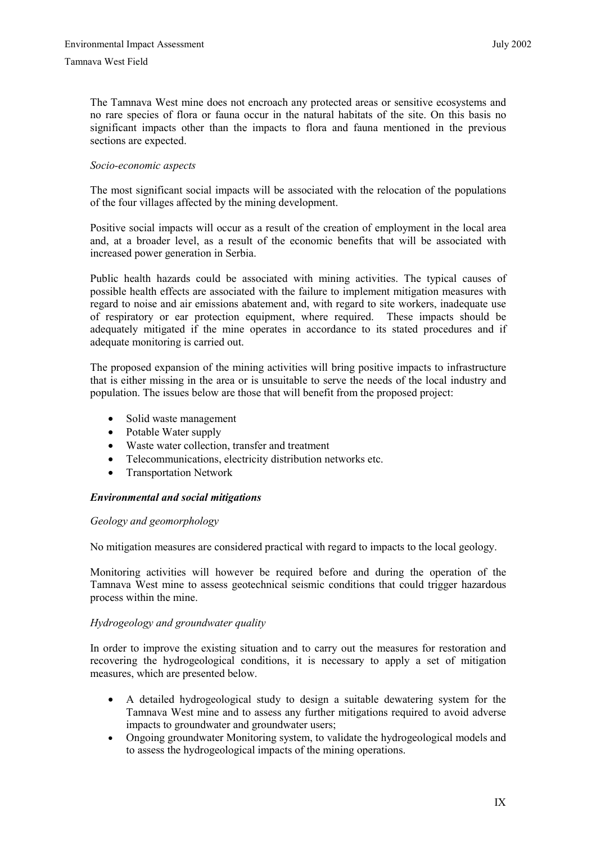The Tamnava West mine does not encroach any protected areas or sensitive ecosystems and no rare species of flora or fauna occur in the natural habitats of the site. On this basis no significant impacts other than the impacts to flora and fauna mentioned in the previous sections are expected.

# *Socio-economic aspects*

The most significant social impacts will be associated with the relocation of the populations of the four villages affected by the mining development.

Positive social impacts will occur as a result of the creation of employment in the local area and, at a broader level, as a result of the economic benefits that will be associated with increased power generation in Serbia.

Public health hazards could be associated with mining activities. The typical causes of possible health effects are associated with the failure to implement mitigation measures with regard to noise and air emissions abatement and, with regard to site workers, inadequate use of respiratory or ear protection equipment, where required. These impacts should be adequately mitigated if the mine operates in accordance to its stated procedures and if adequate monitoring is carried out.

The proposed expansion of the mining activities will bring positive impacts to infrastructure that is either missing in the area or is unsuitable to serve the needs of the local industry and population. The issues below are those that will benefit from the proposed project:

- Solid waste management
- Potable Water supply
- Waste water collection, transfer and treatment
- Telecommunications, electricity distribution networks etc.
- Transportation Network

# *Environmental and social mitigations*

# *Geology and geomorphology*

No mitigation measures are considered practical with regard to impacts to the local geology.

Monitoring activities will however be required before and during the operation of the Tamnava West mine to assess geotechnical seismic conditions that could trigger hazardous process within the mine.

# *Hydrogeology and groundwater quality*

In order to improve the existing situation and to carry out the measures for restoration and recovering the hydrogeological conditions, it is necessary to apply a set of mitigation measures, which are presented below.

- A detailed hydrogeological study to design a suitable dewatering system for the Tamnava West mine and to assess any further mitigations required to avoid adverse impacts to groundwater and groundwater users;
- Ongoing groundwater Monitoring system, to validate the hydrogeological models and to assess the hydrogeological impacts of the mining operations.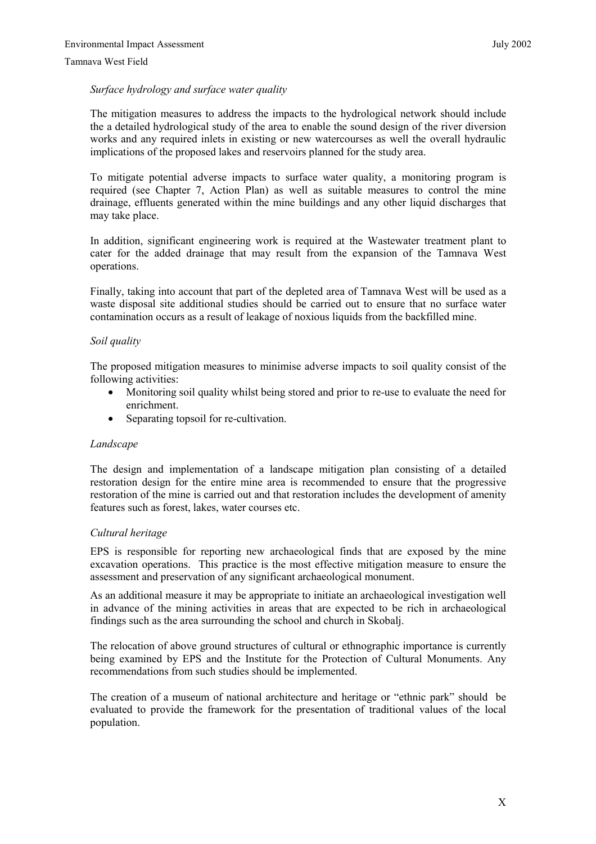# *Surface hydrology and surface water quality*

The mitigation measures to address the impacts to the hydrological network should include the a detailed hydrological study of the area to enable the sound design of the river diversion works and any required inlets in existing or new watercourses as well the overall hydraulic implications of the proposed lakes and reservoirs planned for the study area.

To mitigate potential adverse impacts to surface water quality, a monitoring program is required (see Chapter 7, Action Plan) as well as suitable measures to control the mine drainage, effluents generated within the mine buildings and any other liquid discharges that may take place.

In addition, significant engineering work is required at the Wastewater treatment plant to cater for the added drainage that may result from the expansion of the Tamnava West operations.

Finally, taking into account that part of the depleted area of Tamnava West will be used as a waste disposal site additional studies should be carried out to ensure that no surface water contamination occurs as a result of leakage of noxious liquids from the backfilled mine.

# *Soil quality*

The proposed mitigation measures to minimise adverse impacts to soil quality consist of the following activities:

- Monitoring soil quality whilst being stored and prior to re-use to evaluate the need for enrichment.
- Separating topsoil for re-cultivation.

# *Landscape*

The design and implementation of a landscape mitigation plan consisting of a detailed restoration design for the entire mine area is recommended to ensure that the progressive restoration of the mine is carried out and that restoration includes the development of amenity features such as forest, lakes, water courses etc.

# *Cultural heritage*

EPS is responsible for reporting new archaeological finds that are exposed by the mine excavation operations. This practice is the most effective mitigation measure to ensure the assessment and preservation of any significant archaeological monument.

As an additional measure it may be appropriate to initiate an archaeological investigation well in advance of the mining activities in areas that are expected to be rich in archaeological findings such as the area surrounding the school and church in Skobalj.

The relocation of above ground structures of cultural or ethnographic importance is currently being examined by EPS and the Institute for the Protection of Cultural Monuments. Any recommendations from such studies should be implemented.

The creation of a museum of national architecture and heritage or "ethnic park" should be evaluated to provide the framework for the presentation of traditional values of the local population.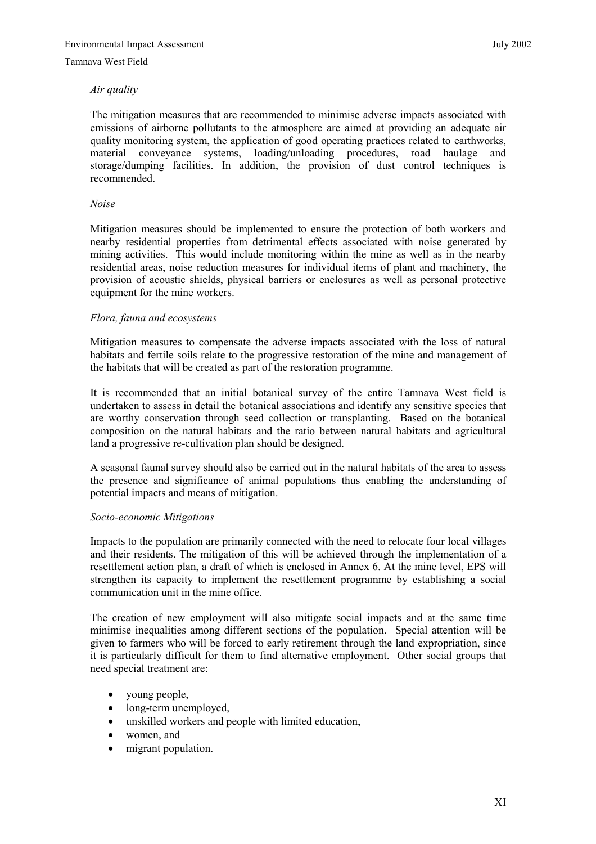# *Air quality*

The mitigation measures that are recommended to minimise adverse impacts associated with emissions of airborne pollutants to the atmosphere are aimed at providing an adequate air quality monitoring system, the application of good operating practices related to earthworks, material conveyance systems, loading/unloading procedures, road haulage and storage/dumping facilities. In addition, the provision of dust control techniques is recommended.

# *Noise*

Mitigation measures should be implemented to ensure the protection of both workers and nearby residential properties from detrimental effects associated with noise generated by mining activities. This would include monitoring within the mine as well as in the nearby residential areas, noise reduction measures for individual items of plant and machinery, the provision of acoustic shields, physical barriers or enclosures as well as personal protective equipment for the mine workers.

# *Flora, fauna and ecosystems*

Mitigation measures to compensate the adverse impacts associated with the loss of natural habitats and fertile soils relate to the progressive restoration of the mine and management of the habitats that will be created as part of the restoration programme.

It is recommended that an initial botanical survey of the entire Tamnava West field is undertaken to assess in detail the botanical associations and identify any sensitive species that are worthy conservation through seed collection or transplanting. Based on the botanical composition on the natural habitats and the ratio between natural habitats and agricultural land a progressive re-cultivation plan should be designed.

A seasonal faunal survey should also be carried out in the natural habitats of the area to assess the presence and significance of animal populations thus enabling the understanding of potential impacts and means of mitigation.

# *Socio-economic Mitigations*

Impacts to the population are primarily connected with the need to relocate four local villages and their residents. The mitigation of this will be achieved through the implementation of a resettlement action plan, a draft of which is enclosed in Annex 6. At the mine level, EPS will strengthen its capacity to implement the resettlement programme by establishing a social communication unit in the mine office.

The creation of new employment will also mitigate social impacts and at the same time minimise inequalities among different sections of the population. Special attention will be given to farmers who will be forced to early retirement through the land expropriation, since it is particularly difficult for them to find alternative employment. Other social groups that need special treatment are:

- young people,
- long-term unemployed,
- unskilled workers and people with limited education,
- women, and
- migrant population.